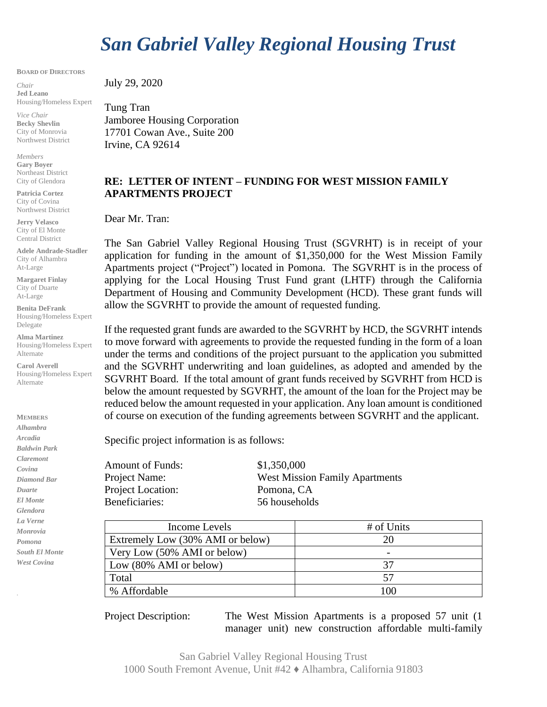## *San Gabriel Valley Regional Housing Trust*

**BOARD OF DIRECTORS**

*Chair* **Jed Leano** Housing/Homeless Expert

*Vice Chair* **Becky Shevlin** City of Monrovia Northwest District

*Members* **Gary Boyer** Northeast District City of Glendora

**Patricia Cortez** City of Covina Northwest District

**Jerry Velasco** City of El Monte Central District

**Adele Andrade-Stadler** City of Alhambra At-Large

**Margaret Finlay** City of Duarte At-Large

**Benita DeFrank** Housing/Homeless Expert Delegate

**Alma Martinez** Housing/Homeless Expert Alternate

**Carol Averell** Housing/Homeless Expert Alternate

**MEMBERS** *Alhambra Arcadia Baldwin Park Claremont Covina Diamond Bar Duarte El Monte Glendora La Verne Monrovia Pomona South El Monte West Covina*

July 29, 2020

Tung Tran Jamboree Housing Corporation 17701 Cowan Ave., Suite 200 Irvine, CA 92614

## **RE: LETTER OF INTENT – FUNDING FOR WEST MISSION FAMILY APARTMENTS PROJECT**

Dear Mr. Tran:

The San Gabriel Valley Regional Housing Trust (SGVRHT) is in receipt of your application for funding in the amount of \$1,350,000 for the West Mission Family Apartments project ("Project") located in Pomona. The SGVRHT is in the process of applying for the Local Housing Trust Fund grant (LHTF) through the California Department of Housing and Community Development (HCD). These grant funds will allow the SGVRHT to provide the amount of requested funding.

If the requested grant funds are awarded to the SGVRHT by HCD, the SGVRHT intends to move forward with agreements to provide the requested funding in the form of a loan under the terms and conditions of the project pursuant to the application you submitted and the SGVRHT underwriting and loan guidelines, as adopted and amended by the SGVRHT Board. If the total amount of grant funds received by SGVRHT from HCD is below the amount requested by SGVRHT, the amount of the loan for the Project may be reduced below the amount requested in your application. Any loan amount is conditioned of course on execution of the funding agreements between SGVRHT and the applicant.

Specific project information is as follows:

Amount of Funds: \$1,350,000 Project Location: Pomona, CA Beneficiaries: 56 households

Project Name: West Mission Family Apartments

| Income Levels                     | # of Units |
|-----------------------------------|------------|
| Extremely Low (30% AMI or below)  | 20         |
| Very Low (50% AMI or below)       |            |
| Low $(80\% \text{ AMI or below})$ | 37         |
| Total                             | 57         |
| % Affordable                      | LOC        |

Project Description: The West Mission Apartments is a proposed 57 unit (1 manager unit) new construction affordable multi-family